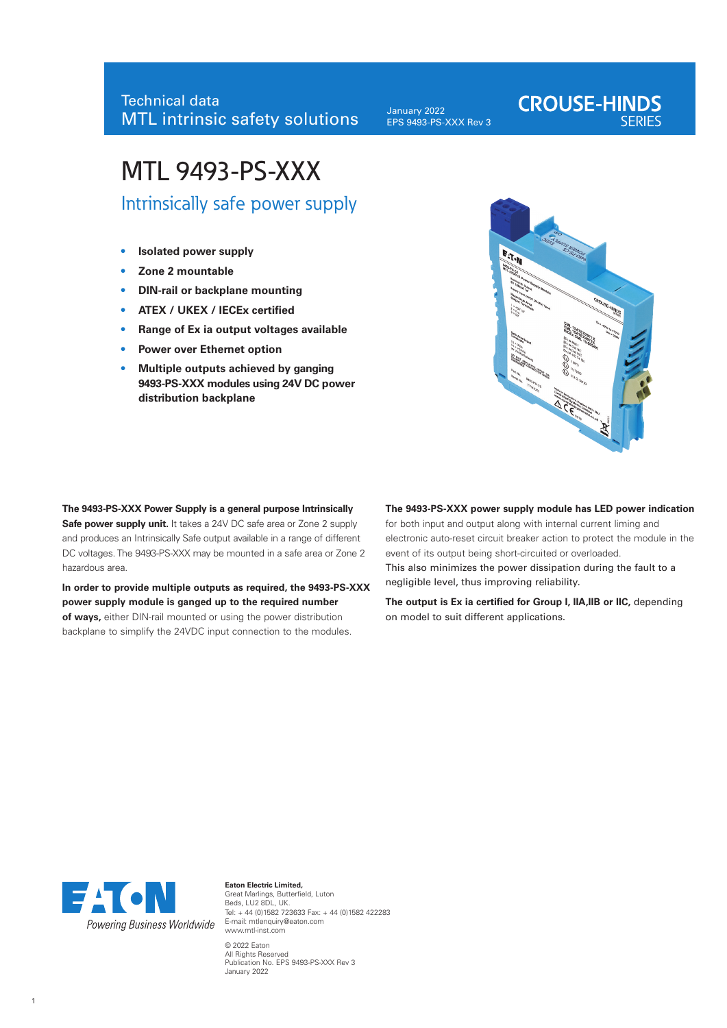# Technical data MTL intrinsic safety solutions

January 2022 EPS 9493-PS-XXX Rev 3

# MTL 9493-PS-XXX

Intrinsically safe power supply

- **• Isolated power supply**
- **• Zone 2 mountable**
- **• DIN-rail or backplane mounting**
- **• ATEX / UKEX / IECEx certified**
- **• Range of Ex ia output voltages available**
- **• Power over Ethernet option**
- **• Multiple outputs achieved by ganging 9493-PS-XXX modules using 24V DC power distribution backplane**



**CROUSE-HINDS** 

**The 9493-PS-XXX Power Supply is a general purpose Intrinsically Safe power supply unit.** It takes a 24V DC safe area or Zone 2 supply and produces an Intrinsically Safe output available in a range of different DC voltages. The 9493-PS-XXX may be mounted in a safe area or Zone 2 hazardous area.

**In order to provide multiple outputs as required, the 9493-PS-XXX power supply module is ganged up to the required number of ways,** either DIN-rail mounted or using the power distribution backplane to simplify the 24VDC input connection to the modules.

## **The 9493-PS-XXX power supply module has LED power indication**

for both input and output along with internal current liming and electronic auto-reset circuit breaker action to protect the module in the event of its output being short-circuited or overloaded. This also minimizes the power dissipation during the fault to a

negligible level, thus improving reliability.

**The output is Ex ia certified for Group I, IIA,IIB or IIC,** depending on model to suit different applications.



**Eaton Electric Limited,** Great Marlings, Butterfield, Luton Beds, LU2 8DL, UK. Tel: + 44 (0)1582 723633 Fax: + 44 (0)1582 422283 E-mail: mtlenquiry@eaton.com www.mtl-inst.com © 2022 Eaton All Rights Reserved Publication No. EPS 9493-PS-XXX Rev 3 January 2022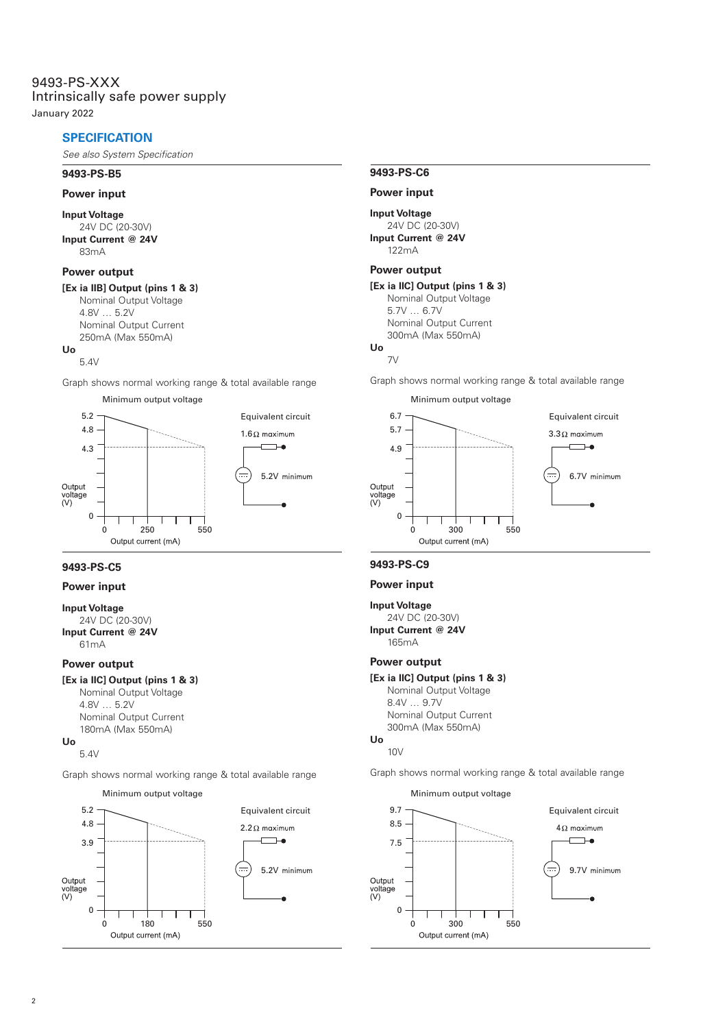January 2022

# **SPECIFICATION**

*See also System Specification*

#### **9493-PS-B5**

#### **Power input**

#### **Input Voltage**

24V DC (20-30V) **Input Current @ 24V** 83mA

## **Power output**

# **[Ex ia IIB] Output (pins 1 & 3)**

Nominal Output Voltage 4.8V … 5.2V Nominal Output Current 250mA (Max 550mA) **Uo**

#### $5.4V$

Graph shows normal working range & total available range



# **9493-PS-C5**

#### **Power input**

# **Input Voltage**

24V DC (20-30V) **Input Current @ 24V** 61mA

#### **Power output**

# **[Ex ia IIC] Output (pins 1 & 3)**

Nominal Output Voltage 4.8V … 5.2V Nominal Output Current 180mA (Max 550mA) **Uo**

# 5.4V

Graph shows normal working range & total available range



## **9493-PS-C6**

# **Power input**

#### **Input Voltage**

24V DC (20-30V) **Input Current @ 24V** 122mA

#### **Power output**

# **[Ex ia IIC] Output (pins 1 & 3)**

Nominal Output Voltage 5.7V … 6.7V Nominal Output Current 300mA (Max 550mA)

# **Uo**

7V

Graph shows normal working range & total available range



#### **9493-PS-C9**

#### **Power input**

# **Input Voltage**

24V DC (20-30V) **Input Current @ 24V** 165mA

## **Power output**

**[Ex ia IIC] Output (pins 1 & 3)** Nominal Output Voltage 8.4V … 9.7V Nominal Output Current 300mA (Max 550mA) **Uo**

#### 10V

Graph shows normal working range & total available range

Minimum output voltage

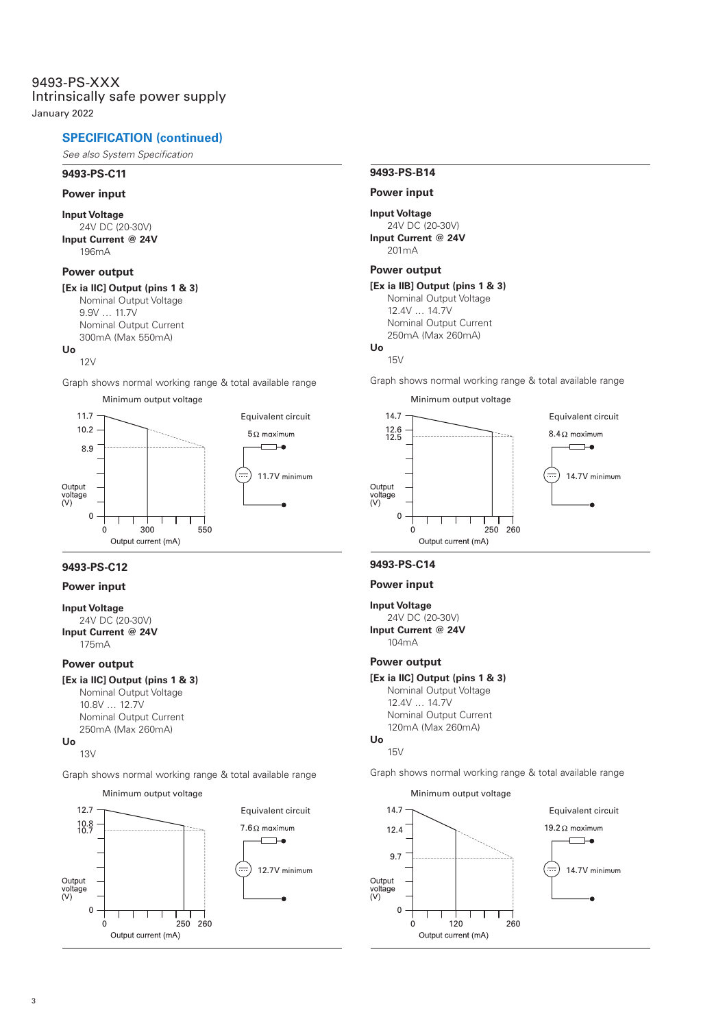# 9493-PS-XXX Intrinsically safe power supply

January 2022

# **SPECIFICATION (continued)**

*See also System Specification*

#### **9493-PS-C11**

#### **Power input**

# **Input Voltage**

24V DC (20-30V) **Input Current @ 24V**  $196m\Delta$ 

## **Power output**

# **[Ex ia IIC] Output (pins 1 & 3)**

Nominal Output Voltage 9.9V … 11.7V Nominal Output Current 300mA (Max 550mA) **Uo**

#### $12V$

Graph shows normal working range & total available range



# **9493-PS-C12**

# **Power input**

# **Input Voltage**

24V DC (20-30V) **Input Current @ 24V** 175mA

#### **Power output**

# **[Ex ia IIC] Output (pins 1 & 3)**

Nominal Output Voltage 10.8V … 12.7V Nominal Output Current 250mA (Max 260mA) **Uo**

# 13V

Graph shows normal working range & total available range



# **9493-PS-B14**

## **Power input**

#### **Input Voltage**

24V DC (20-30V) **Input Current @ 24V** 201mA

## **Power output**

# **[Ex ia IIB] Output (pins 1 & 3)**

Nominal Output Voltage 12.4V … 14.7V Nominal Output Current 250mA (Max 260mA)

# **Uo**

15V

Graph shows normal working range & total available range



# **9493-PS-C14**

#### **Power input**

# **Input Voltage**

24V DC (20-30V) **Input Current @ 24V** 104mA

# **Power output**

**[Ex ia IIC] Output (pins 1 & 3)** Nominal Output Voltage 12.4V … 14.7V Nominal Output Current 120mA (Max 260mA) **Uo**

#### $15V$

Graph shows normal working range & total available range

Minimum output voltage

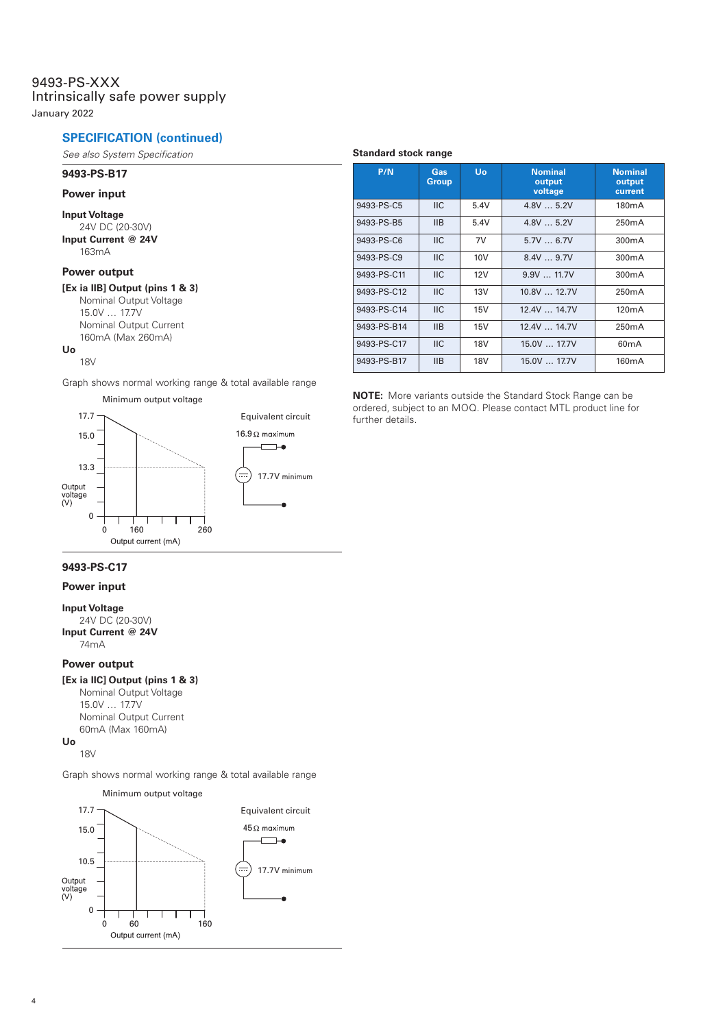# 9493-PS-XXX Intrinsically safe power supply

January 2022

# **SPECIFICATION (continued)**

*See also System Specification*

# **9493-PS-B17**

#### **Power input**

**Input Voltage**

24V DC (20-30V) **Input Current @ 24V** 163mA

# **Power output**

**[Ex ia IIB] Output (pins 1 & 3)** Nominal Output Voltage 15.0V … 17.7V Nominal Output Current 160mA (Max 260mA)

#### **Uo** 18V

Graph shows normal working range & total available range





# **Standard stock range**

| P/N         | Gas<br>Group   | Uo         | <b>Nominal</b><br>output<br>voltage | <b>Nominal</b><br>output<br>current |
|-------------|----------------|------------|-------------------------------------|-------------------------------------|
| 9493-PS-C5  | $\mathsf{IIC}$ | 5.4V       | 4.8V5.2V                            | 180 <sub>m</sub> A                  |
| 9493-PS-B5  | IIB            | 5.4V       | 4.8V5.2V                            | 250 <sub>m</sub> A                  |
| 9493-PS-C6  | $\mathsf{IIC}$ | 7V         | 5.7V6.7V                            | 300mA                               |
| 9493-PS-C9  | <b>IIC</b>     | 10V        | 8.4V9.7V                            | 300mA                               |
| 9493-PS-C11 | <b>IIC</b>     | 12V        | 9.9V  11.7V                         | 300mA                               |
| 9493-PS-C12 | $\mathsf{IIC}$ | 13V        | 10.8V  12.7V                        | 250 <sub>m</sub> A                  |
| 9493-PS-C14 | $\mathsf{IIC}$ | 15V        | 12.4V  14.7V                        | 120mA                               |
| 9493-PS-B14 | <b>IIB</b>     | 15V        | 12.4V  14.7V                        | 250 <sub>m</sub> A                  |
| 9493-PS-C17 | $\mathsf{IIC}$ | <b>18V</b> | 15.0V  17.7V                        | 60mA                                |
| 9493-PS-B17 | IIB            | <b>18V</b> | 15.0V  17.7V                        | 160 <sub>m</sub> A                  |

**NOTE:** More variants outside the Standard Stock Range can be ordered, subject to an MOQ. Please contact MTL product line for

# **9493-PS-C17**

# **Power input**

**Input Voltage**

24V DC (20-30V) **Input Current @ 24V** 74mA

# **Power output**

# **[Ex ia IIC] Output (pins 1 & 3)**

Nominal Output Voltage 15.0V … 17.7V Nominal Output Current 60mA (Max 160mA) **Uo**

# 18V

Graph shows normal working range & total available range